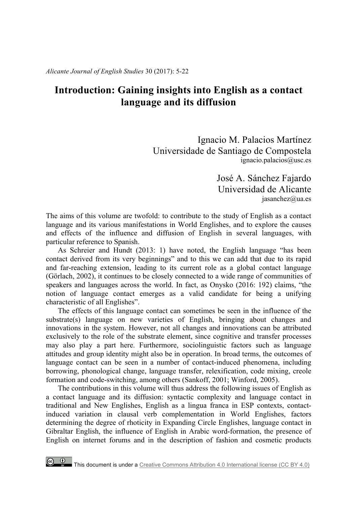*Alicante Journal of English Studies* 30 (2017): 5-22

# **Introduction: Gaining insights into English as a contact language and its diffusion**

Ignacio M. Palacios Martínez Universidade de Santiago de Compostela ignacio.palacios@usc.es

> José A. Sánchez Fajardo Universidad de Alicante jasanchez@ua.es

The aims of this volume are twofold: to contribute to the study of English as a contact language and its various manifestations in World Englishes, and to explore the causes and effects of the influence and diffusion of English in several languages, with particular reference to Spanish.

As Schreier and Hundt (2013: 1) have noted, the English language "has been contact derived from its very beginnings" and to this we can add that due to its rapid and far-reaching extension, leading to its current role as a global contact language (Görlach, 2002), it continues to be closely connected to a wide range of communities of speakers and languages across the world. In fact, as Onysko (2016: 192) claims, "the notion of language contact emerges as a valid candidate for being a unifying characteristic of all Englishes".

The effects of this language contact can sometimes be seen in the influence of the substrate(s) language on new varieties of English, bringing about changes and innovations in the system. However, not all changes and innovations can be attributed exclusively to the role of the substrate element, since cognitive and transfer processes may also play a part here. Furthermore, sociolinguistic factors such as language attitudes and group identity might also be in operation. In broad terms, the outcomes of language contact can be seen in a number of contact-induced phenomena, including borrowing, phonological change, language transfer, relexification, code mixing, creole formation and code-switching, among others (Sankoff, 2001; Winford, 2005).

The contributions in this volume will thus address the following issues of English as a contact language and its diffusion: syntactic complexity and language contact in traditional and New Englishes, English as a lingua franca in ESP contexts, contactinduced variation in clausal verb complementation in World Englishes, factors determining the degree of rhoticity in Expanding Circle Englishes, language contact in Gibraltar English, the influence of English in Arabic word-formation, the presence of English on internet forums and in the description of fashion and cosmetic products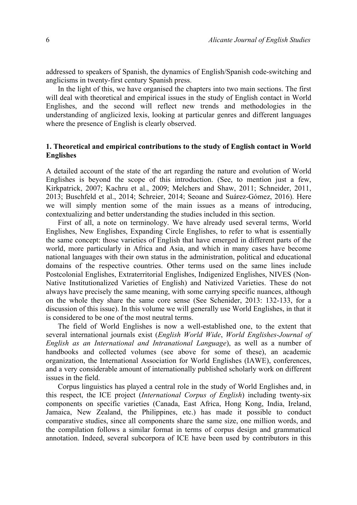addressed to speakers of Spanish, the dynamics of English/Spanish code-switching and anglicisms in twenty-first century Spanish press.

In the light of this, we have organised the chapters into two main sections. The first will deal with theoretical and empirical issues in the study of English contact in World Englishes, and the second will reflect new trends and methodologies in the understanding of anglicized lexis, looking at particular genres and different languages where the presence of English is clearly observed.

## **1. Theoretical and empirical contributions to the study of English contact in World Englishes**

A detailed account of the state of the art regarding the nature and evolution of World Englishes is beyond the scope of this introduction. (See, to mention just a few, Kirkpatrick, 2007; Kachru et al., 2009; Melchers and Shaw, 2011; Schneider, 2011, 2013; Buschfeld et al., 2014; Schreier, 2014; Seoane and Suárez-Gómez, 2016). Here we will simply mention some of the main issues as a means of introducing, contextualizing and better understanding the studies included in this section.

First of all, a note on terminology. We have already used several terms, World Englishes, New Englishes, Expanding Circle Englishes, to refer to what is essentially the same concept: those varieties of English that have emerged in different parts of the world, more particularly in Africa and Asia, and which in many cases have become national languages with their own status in the administration, political and educational domains of the respective countries. Other terms used on the same lines include Postcolonial Englishes, Extraterritorial Englishes, Indigenized Englishes, NIVES (Non-Native Institutionalized Varieties of English) and Nativized Varieties. These do not always have precisely the same meaning, with some carrying specific nuances, although on the whole they share the same core sense (See Schenider, 2013: 132-133, for a discussion of this issue). In this volume we will generally use World Englishes, in that it is considered to be one of the most neutral terms.

The field of World Englishes is now a well-established one, to the extent that several international journals exist (*English World Wide*, *World Englishes-Journal of English as an International and Intranational Language*), as well as a number of handbooks and collected volumes (see above for some of these), an academic organization, the International Association for World Englishes (IAWE), conferences, and a very considerable amount of internationally published scholarly work on different issues in the field.

Corpus linguistics has played a central role in the study of World Englishes and, in this respect, the ICE project (*International Corpus of English*) including twenty-six components on specific varieties (Canada, East Africa, Hong Kong, India, Ireland, Jamaica, New Zealand, the Philippines, etc.) has made it possible to conduct comparative studies, since all components share the same size, one million words, and the compilation follows a similar format in terms of corpus design and grammatical annotation. Indeed, several subcorpora of ICE have been used by contributors in this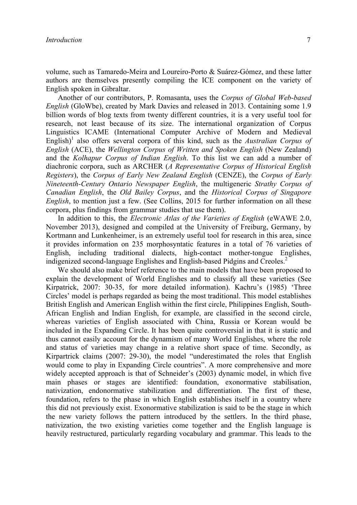volume, such as Tamaredo-Meira and Loureiro-Porto & Suárez-Gómez, and these latter authors are themselves presently compiling the ICE component on the variety of English spoken in Gibraltar.

Another of our contributors, P. Romasanta, uses the *Corpus of Global Web-based English* (GloWbe), created by Mark Davies and released in 2013. Containing some 1.9 billion words of blog texts from twenty different countries, it is a very useful tool for research, not least because of its size. The international organization of Corpus Linguistics ICAME (International Computer Archive of Modern and Medieval English)<sup>1</sup> also offers several corpora of this kind, such as the *Australian Corpus of English* (ACE), the *Wellington Corpus of Written and Spoken English* (New Zealand) and the *Kolhapur Corpus of Indian English*. To this list we can add a number of diachronic corpora, such as ARCHER (*A Representative Corpus of Historical English Registers*), the *Corpus of Early New Zealand English* (CENZE), the *Corpus of Early Nineteenth-Century Ontario Newspaper English*, the multigeneric *Strathy Corpus of Canadian English*, the *Old Bailey Corpus*, and the *Historical Corpus of Singapore English*, to mention just a few. (See Collins, 2015 for further information on all these corpora, plus findings from grammar studies that use them).

In addition to this, the *Electronic Atlas of the Varieties of English* (eWAWE 2.0, November 2013), designed and compiled at the University of Freiburg, Germany, by Kortmann and Lunkenheimer, is an extremely useful tool for research in this area, since it provides information on 235 morphosyntatic features in a total of 76 varieties of English, including traditional dialects, high-contact mother-tongue Englishes, indigenized second-language Englishes and English-based Pidgins and Creoles.<sup>2</sup>

We should also make brief reference to the main models that have been proposed to explain the development of World Englishes and to classify all these varieties (See Kirpatrick, 2007: 30-35, for more detailed information). Kachru's (1985) 'Three Circles' model is perhaps regarded as being the most traditional. This model establishes British English and American English within the first circle, Philippines English, South-African English and Indian English, for example, are classified in the second circle, whereas varieties of English associated with China, Russia or Korean would be included in the Expanding Circle. It has been quite controversial in that it is static and thus cannot easily account for the dynamism of many World Englishes, where the role and status of varieties may change in a relative short space of time. Secondly, as Kirpartrick claims (2007: 29-30), the model "underestimated the roles that English would come to play in Expanding Circle countries". A more comprehensive and more widely accepted approach is that of Schneider's (2003) dynamic model, in which five main phases or stages are identified: foundation, exonormative stabilisation, nativization, endonormative stabilization and differentiation. The first of these, foundation, refers to the phase in which English establishes itself in a country where this did not previously exist. Exonormative stabilization is said to be the stage in which the new variety follows the pattern introduced by the settlers. In the third phase, nativization, the two existing varieties come together and the English language is heavily restructured, particularly regarding vocabulary and grammar. This leads to the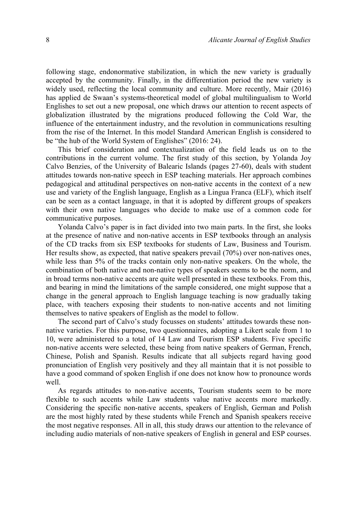following stage, endonormative stabilization, in which the new variety is gradually accepted by the community. Finally, in the differentiation period the new variety is widely used, reflecting the local community and culture. More recently, Mair (2016) has applied de Swaan's systems-theoretical model of global multilingualism to World Englishes to set out a new proposal, one which draws our attention to recent aspects of globalization illustrated by the migrations produced following the Cold War, the influence of the entertainment industry, and the revolution in communications resulting from the rise of the Internet. In this model Standard American English is considered to be "the hub of the World System of Englishes" (2016: 24).

This brief consideration and contextualization of the field leads us on to the contributions in the current volume. The first study of this section, by Yolanda Joy Calvo Benzies, of the University of Balearic Islands (pages 27-60), deals with student attitudes towards non-native speech in ESP teaching materials. Her approach combines pedagogical and attitudinal perspectives on non-native accents in the context of a new use and variety of the English language, English as a Lingua Franca (ELF), which itself can be seen as a contact language, in that it is adopted by different groups of speakers with their own native languages who decide to make use of a common code for communicative purposes.

Yolanda Calvo's paper is in fact divided into two main parts. In the first, she looks at the presence of native and non-native accents in ESP textbooks through an analysis of the CD tracks from six ESP textbooks for students of Law, Business and Tourism. Her results show, as expected, that native speakers prevail (70%) over non-natives ones, while less than 5% of the tracks contain only non-native speakers. On the whole, the combination of both native and non-native types of speakers seems to be the norm, and in broad terms non-native accents are quite well presented in these textbooks. From this, and bearing in mind the limitations of the sample considered, one might suppose that a change in the general approach to English language teaching is now gradually taking place, with teachers exposing their students to non-native accents and not limiting themselves to native speakers of English as the model to follow.

The second part of Calvo's study focusses on students' attitudes towards these nonnative varieties. For this purpose, two questionnaires, adopting a Likert scale from 1 to 10, were administered to a total of 14 Law and Tourism ESP students. Five specific non-native accents were selected, these being from native speakers of German, French, Chinese, Polish and Spanish. Results indicate that all subjects regard having good pronunciation of English very positively and they all maintain that it is not possible to have a good command of spoken English if one does not know how to pronounce words well.

As regards attitudes to non-native accents, Tourism students seem to be more flexible to such accents while Law students value native accents more markedly. Considering the specific non-native accents, speakers of English, German and Polish are the most highly rated by these students while French and Spanish speakers receive the most negative responses. All in all, this study draws our attention to the relevance of including audio materials of non-native speakers of English in general and ESP courses.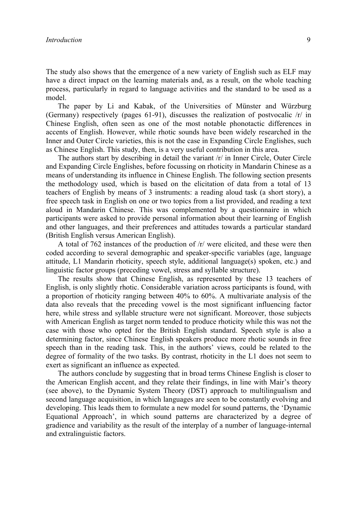The study also shows that the emergence of a new variety of English such as ELF may have a direct impact on the learning materials and, as a result, on the whole teaching process, particularly in regard to language activities and the standard to be used as a model.

The paper by Li and Kabak, of the Universities of Münster and Würzburg (Germany) respectively (pages 61-91), discusses the realization of postvocalic /r/ in Chinese English, often seen as one of the most notable phonotactic differences in accents of English. However, while rhotic sounds have been widely researched in the Inner and Outer Circle varieties, this is not the case in Expanding Circle Englishes, such as Chinese English. This study, then, is a very useful contribution in this area.

The authors start by describing in detail the variant /r/ in Inner Circle, Outer Circle and Expanding Circle Englishes, before focussing on rhoticity in Mandarin Chinese as a means of understanding its influence in Chinese English. The following section presents the methodology used, which is based on the elicitation of data from a total of 13 teachers of English by means of 3 instruments: a reading aloud task (a short story), a free speech task in English on one or two topics from a list provided, and reading a text aloud in Mandarin Chinese. This was complemented by a questionnaire in which participants were asked to provide personal information about their learning of English and other languages, and their preferences and attitudes towards a particular standard (British English versus American English).

A total of 762 instances of the production of /r/ were elicited, and these were then coded according to several demographic and speaker-specific variables (age, language attitude, L1 Mandarin rhoticity, speech style, additional language(s) spoken, etc.) and linguistic factor groups (preceding vowel, stress and syllable structure).

The results show that Chinese English, as represented by these 13 teachers of English, is only slightly rhotic. Considerable variation across participants is found, with a proportion of rhoticity ranging between 40% to 60%. A multivariate analysis of the data also reveals that the preceding vowel is the most significant influencing factor here, while stress and syllable structure were not significant. Moreover, those subjects with American English as target norm tended to produce rhoticity while this was not the case with those who opted for the British English standard. Speech style is also a determining factor, since Chinese English speakers produce more rhotic sounds in free speech than in the reading task. This, in the authors' views, could be related to the degree of formality of the two tasks. By contrast, rhoticity in the L1 does not seem to exert as significant an influence as expected.

The authors conclude by suggesting that in broad terms Chinese English is closer to the American English accent, and they relate their findings, in line with Mair's theory (see above), to the Dynamic System Theory (DST) approach to multilingualism and second language acquisition, in which languages are seen to be constantly evolving and developing. This leads them to formulate a new model for sound patterns, the 'Dynamic Equational Approach', in which sound patterns are characterized by a degree of gradience and variability as the result of the interplay of a number of language-internal and extralinguistic factors.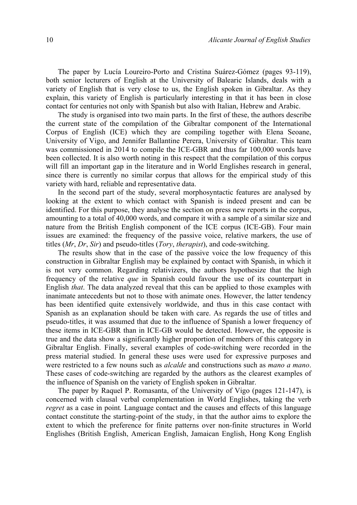The paper by Lucía Loureiro-Porto and Cristina Suárez-Gómez (pages 93-119), both senior lecturers of English at the University of Balearic Islands, deals with a variety of English that is very close to us, the English spoken in Gibraltar. As they explain, this variety of English is particularly interesting in that it has been in close contact for centuries not only with Spanish but also with Italian, Hebrew and Arabic.

The study is organised into two main parts. In the first of these, the authors describe the current state of the compilation of the Gibraltar component of the International Corpus of English (ICE) which they are compiling together with Elena Seoane, University of Vigo, and Jennifer Ballantine Perera, University of Gibraltar. This team was commissioned in 2014 to compile the ICE-GBR and thus far 100,000 words have been collected. It is also worth noting in this respect that the compilation of this corpus will fill an important gap in the literature and in World Englishes research in general, since there is currently no similar corpus that allows for the empirical study of this variety with hard, reliable and representative data.

In the second part of the study, several morphosyntactic features are analysed by looking at the extent to which contact with Spanish is indeed present and can be identified. For this purpose, they analyse the section on press new reports in the corpus, amounting to a total of 40,000 words, and compare it with a sample of a similar size and nature from the British English component of the ICE corpus (ICE-GB). Four main issues are examined: the frequency of the passive voice, relative markers, the use of titles (*Mr*, *Dr*, *Sir*) and pseudo-titles (*Tory*, *therapist*), and code-switching.

The results show that in the case of the passive voice the low frequency of this construction in Gibraltar English may be explained by contact with Spanish, in which it is not very common. Regarding relativizers, the authors hypothesize that the high frequency of the relative *que* in Spanish could favour the use of its counterpart in English *that*. The data analyzed reveal that this can be applied to those examples with inanimate antecedents but not to those with animate ones. However, the latter tendency has been identified quite extensively worldwide, and thus in this case contact with Spanish as an explanation should be taken with care. As regards the use of titles and pseudo-titles, it was assumed that due to the influence of Spanish a lower frequency of these items in ICE-GBR than in ICE-GB would be detected. However, the opposite is true and the data show a significantly higher proportion of members of this category in Gibraltar English. Finally, several examples of code-switching were recorded in the press material studied. In general these uses were used for expressive purposes and were restricted to a few nouns such as *alcalde* and constructions such as *mano a mano*. These cases of code-switching are regarded by the authors as the clearest examples of the influence of Spanish on the variety of English spoken in Gibraltar.

The paper by Raquel P. Romasanta, of the University of Vigo (pages 121-147), is concerned with clausal verbal complementation in World Englishes, taking the verb *regret* as a case in point. Language contact and the causes and effects of this language contact constitute the starting-point of the study, in that the author aims to explore the extent to which the preference for finite patterns over non-finite structures in World Englishes (British English, American English, Jamaican English, Hong Kong English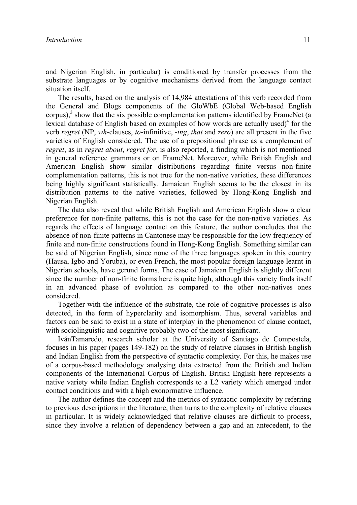and Nigerian English, in particular) is conditioned by transfer processes from the substrate languages or by cognitive mechanisms derived from the language contact situation itself.

The results, based on the analysis of 14,984 attestations of this verb recorded from the General and Blogs components of the GloWbE (Global Web-based English corpus), $3$  show that the six possible complementation patterns identified by FrameNet (a lexical database of English based on examples of how words are actually used)<sup>4</sup> for the verb *regret* (NP, *wh*-clauses, *to*-infinitive, -*ing*, *that* and *zero*) are all present in the five varieties of English considered. The use of a prepositional phrase as a complement of *regret*, as in *regret about*, *regret for*, is also reported, a finding which is not mentioned in general reference grammars or on FrameNet. Moreover, while British English and American English show similar distributions regarding finite versus non-finite complementation patterns, this is not true for the non-native varieties, these differences being highly significant statistically. Jamaican English seems to be the closest in its distribution patterns to the native varieties, followed by Hong-Kong English and Nigerian English.

The data also reveal that while British English and American English show a clear preference for non-finite patterns, this is not the case for the non-native varieties. As regards the effects of language contact on this feature, the author concludes that the absence of non-finite patterns in Cantonese may be responsible for the low frequency of finite and non-finite constructions found in Hong-Kong English. Something similar can be said of Nigerian English, since none of the three languages spoken in this country (Hausa, Igbo and Yoruba), or even French, the most popular foreign language learnt in Nigerian schools, have gerund forms. The case of Jamaican English is slightly different since the number of non-finite forms here is quite high, although this variety finds itself in an advanced phase of evolution as compared to the other non-natives ones considered.

Together with the influence of the substrate, the role of cognitive processes is also detected, in the form of hyperclarity and isomorphism. Thus, several variables and factors can be said to exist in a state of interplay in the phenomenon of clause contact, with sociolinguistic and cognitive probably two of the most significant.

IvánTamaredo, research scholar at the University of Santiago de Compostela, focuses in his paper (pages 149-182) on the study of relative clauses in British English and Indian English from the perspective of syntactic complexity. For this, he makes use of a corpus-based methodology analysing data extracted from the British and Indian components of the International Corpus of English. British English here represents a native variety while Indian English corresponds to a L2 variety which emerged under contact conditions and with a high exonormative influence.

The author defines the concept and the metrics of syntactic complexity by referring to previous descriptions in the literature, then turns to the complexity of relative clauses in particular. It is widely acknowledged that relative clauses are difficult to process, since they involve a relation of dependency between a gap and an antecedent, to the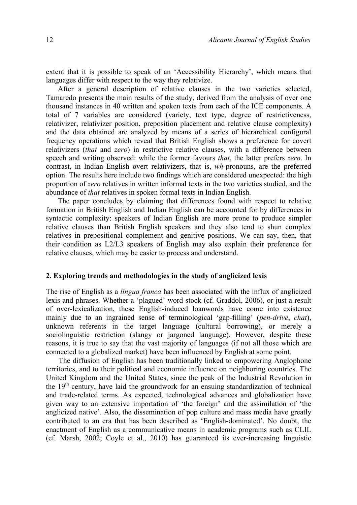extent that it is possible to speak of an 'Accessibility Hierarchy', which means that languages differ with respect to the way they relativize.

After a general description of relative clauses in the two varieties selected, Tamaredo presents the main results of the study, derived from the analysis of over one thousand instances in 40 written and spoken texts from each of the ICE components. A total of 7 variables are considered (variety, text type, degree of restrictiveness, relativizer, relativizer position, preposition placement and relative clause complexity) and the data obtained are analyzed by means of a series of hierarchical configural frequency operations which reveal that British English shows a preference for covert relativizers (*that* and *zero*) in restrictive relative clauses, with a difference between speech and writing observed: while the former favours *that*, the latter prefers *zero*. In contrast, in Indian English overt relativizers, that is, *wh*-pronouns, are the preferred option. The results here include two findings which are considered unexpected: the high proportion of *zero* relatives in written informal texts in the two varieties studied, and the abundance of *that* relatives in spoken formal texts in Indian English.

The paper concludes by claiming that differences found with respect to relative formation in British English and Indian English can be accounted for by differences in syntactic complexity: speakers of Indian English are more prone to produce simpler relative clauses than British English speakers and they also tend to shun complex relatives in prepositional complement and genitive positions. We can say, then, that their condition as L2/L3 speakers of English may also explain their preference for relative clauses, which may be easier to process and understand.

#### **2. Exploring trends and methodologies in the study of anglicized lexis**

The rise of English as a *lingua franca* has been associated with the influx of anglicized lexis and phrases. Whether a 'plagued' word stock (cf. Graddol, 2006), or just a result of over-lexicalization, these English-induced loanwords have come into existence mainly due to an ingrained sense of terminological 'gap-filling' (*pen-drive*, *chat*), unknown referents in the target language (cultural borrowing), or merely a sociolinguistic restriction (slangy or jargoned language). However, despite these reasons, it is true to say that the vast majority of languages (if not all those which are connected to a globalized market) have been influenced by English at some point.

The diffusion of English has been traditionally linked to empowering Anglophone territories, and to their political and economic influence on neighboring countries. The United Kingdom and the United States, since the peak of the Industrial Revolution in the  $19<sup>th</sup>$  century, have laid the groundwork for an ensuing standardization of technical and trade-related terms. As expected, technological advances and globalization have given way to an extensive importation of 'the foreign' and the assimilation of 'the anglicized native'. Also, the dissemination of pop culture and mass media have greatly contributed to an era that has been described as 'English-dominated'. No doubt, the enactment of English as a communicative means in academic programs such as CLIL (cf. Marsh, 2002; Coyle et al., 2010) has guaranteed its ever-increasing linguistic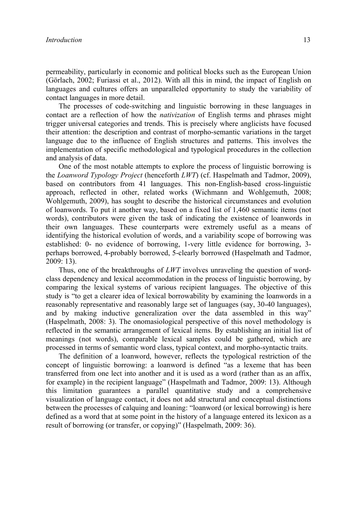permeability, particularly in economic and political blocks such as the European Union (Görlach, 2002; Furiassi et al., 2012). With all this in mind, the impact of English on languages and cultures offers an unparalleled opportunity to study the variability of contact languages in more detail.

The processes of code-switching and linguistic borrowing in these languages in contact are a reflection of how the *nativization* of English terms and phrases might trigger universal categories and trends. This is precisely where anglicists have focused their attention: the description and contrast of morpho-semantic variations in the target language due to the influence of English structures and patterns. This involves the implementation of specific methodological and typological procedures in the collection and analysis of data.

One of the most notable attempts to explore the process of linguistic borrowing is the *Loanword Typology Project* (henceforth *LWT*) (cf. Haspelmath and Tadmor, 2009), based on contributors from 41 languages. This non-English-based cross-linguistic approach, reflected in other, related works (Wichmann and Wohlgemuth, 2008; Wohlgemuth, 2009), has sought to describe the historical circumstances and evolution of loanwords. To put it another way, based on a fixed list of 1,460 semantic items (not words), contributors were given the task of indicating the existence of loanwords in their own languages. These counterparts were extremely useful as a means of identifying the historical evolution of words, and a variability scope of borrowing was established: 0- no evidence of borrowing, 1-very little evidence for borrowing, 3 perhaps borrowed, 4-probably borrowed, 5-clearly borrowed (Haspelmath and Tadmor, 2009: 13).

Thus, one of the breakthroughs of *LWT* involves unraveling the question of wordclass dependency and lexical accommodation in the process of linguistic borrowing, by comparing the lexical systems of various recipient languages. The objective of this study is "to get a clearer idea of lexical borrowability by examining the loanwords in a reasonably representative and reasonably large set of languages (say, 30-40 languages), and by making inductive generalization over the data assembled in this way" (Haspelmath, 2008: 3). The onomasiological perspective of this novel methodology is reflected in the semantic arrangement of lexical items. By establishing an initial list of meanings (not words), comparable lexical samples could be gathered, which are processed in terms of semantic word class, typical context, and morpho-syntactic traits.

The definition of a loanword, however, reflects the typological restriction of the concept of linguistic borrowing: a loanword is defined "as a lexeme that has been transferred from one lect into another and it is used as a word (rather than as an affix, for example) in the recipient language" (Haspelmath and Tadmor, 2009: 13). Although this limitation guarantees a parallel quantitative study and a comprehensive visualization of language contact, it does not add structural and conceptual distinctions between the processes of calquing and loaning: "loanword (or lexical borrowing) is here defined as a word that at some point in the history of a language entered its lexicon as a result of borrowing (or transfer, or copying)" (Haspelmath, 2009: 36).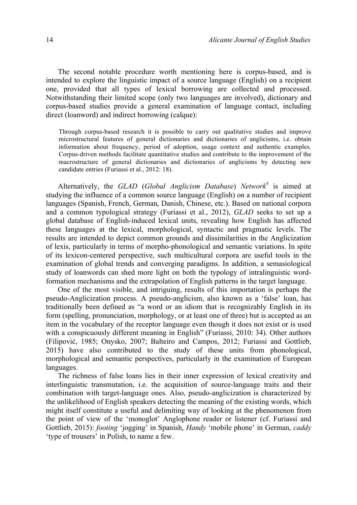The second notable procedure worth mentioning here is corpus-based, and is intended to explore the linguistic impact of a source language (English) on a recipient one, provided that all types of lexical borrowing are collected and processed. Notwithstanding their limited scope (only two languages are involved), dictionary and corpus-based studies provide a general examination of language contact, including direct (loanword) and indirect borrowing (calque):

Through corpus-based research it is possible to carry out qualitative studies and improve microstructural features of general dictionaries and dictionaries of anglicisms, i.e. obtain information about frequency, period of adoption, usage context and authentic examples. Corpus-driven methods facilitate quantitative studies and contribute to the improvement of the macrostructure of general dictionaries and dictionaries of anglicisms by detecting new candidate entries (Furiassi et al., 2012: 18).

Alternatively, the *GLAD* (*Global Anglicism Database*) *Network*<sup>5</sup> is aimed at studying the influence of a common source language (English) on a number of recipient languages (Spanish, French, German, Danish, Chinese, etc.). Based on national corpora and a common typological strategy (Furiassi et al., 2012), *GLAD* seeks to set up a global database of English-induced lexical units, revealing how English has affected these languages at the lexical, morphological, syntactic and pragmatic levels. The results are intended to depict common grounds and dissimilarities in the Anglicization of lexis, particularly in terms of morpho-phonological and semantic variations. In spite of its lexicon-centered perspective, such multicultural corpora are useful tools in the examination of global trends and converging paradigms. In addition, a semasiological study of loanwords can shed more light on both the typology of intralinguistic wordformation mechanisms and the extrapolation of English patterns in the target language.

One of the most visible, and intriguing, results of this importation is perhaps the pseudo-Anglicization process. A pseudo-anglicism, also known as a 'false' loan, has traditionally been defined as "a word or an idiom that is recognizably English in its form (spelling, pronunciation, morphology, or at least one of three) but is accepted as an item in the vocabulary of the receptor language even though it does not exist or is used with a conspicuously different meaning in English" (Furiassi, 2010: 34). Other authors (Filipović, 1985; Onysko, 2007; Balteiro and Campos, 2012; Furiassi and Gottlieb, 2015) have also contributed to the study of these units from phonological, morphological and semantic perspectives, particularly in the examination of European languages.

The richness of false loans lies in their inner expression of lexical creativity and interlinguistic transmutation, i.e. the acquisition of source-language traits and their combination with target-language ones. Also, pseudo-anglicization is characterized by the unlikelihood of English speakers detecting the meaning of the existing words, which might itself constitute a useful and delimiting way of looking at the phenomenon from the point of view of the 'monoglot' Anglophone reader or listener (cf. Furiassi and Gottlieb, 2015): *footing* 'jogging' in Spanish, *Handy* 'mobile phone' in German, *caddy*  'type of trousers' in Polish, to name a few.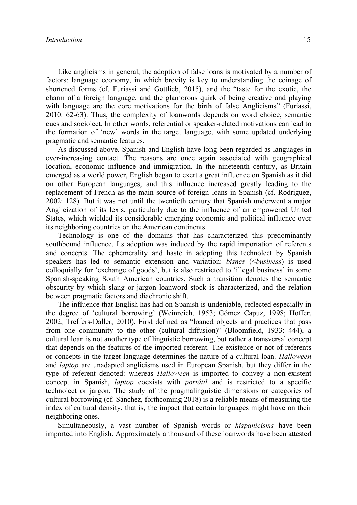Like anglicisms in general, the adoption of false loans is motivated by a number of factors: language economy, in which brevity is key to understanding the coinage of shortened forms (cf. Furiassi and Gottlieb, 2015), and the "taste for the exotic, the charm of a foreign language, and the glamorous quirk of being creative and playing with language are the core motivations for the birth of false Anglicisms" (Furiassi, 2010: 62-63). Thus, the complexity of loanwords depends on word choice, semantic cues and sociolect. In other words, referential or speaker-related motivations can lead to the formation of 'new' words in the target language, with some updated underlying pragmatic and semantic features.

As discussed above, Spanish and English have long been regarded as languages in ever-increasing contact. The reasons are once again associated with geographical location, economic influence and immigration. In the nineteenth century, as Britain emerged as a world power, English began to exert a great influence on Spanish as it did on other European languages, and this influence increased greatly leading to the replacement of French as the main source of foreign loans in Spanish (cf. Rodríguez, 2002: 128). But it was not until the twentieth century that Spanish underwent a major Anglicization of its lexis, particularly due to the influence of an empowered United States, which wielded its considerable emerging economic and political influence over its neighboring countries on the American continents.

Technology is one of the domains that has characterized this predominantly southbound influence. Its adoption was induced by the rapid importation of referents and concepts. The ephemerality and haste in adopting this technolect by Spanish speakers has led to semantic extension and variation: *bisnes* (<*business*) is used colloquially for 'exchange of goods', but is also restricted to 'illegal business' in some Spanish-speaking South American countries. Such a transition denotes the semantic obscurity by which slang or jargon loanword stock is characterized, and the relation between pragmatic factors and diachronic shift.

The influence that English has had on Spanish is undeniable, reflected especially in the degree of 'cultural borrowing' (Weinreich, 1953; Gómez Capuz, 1998; Hoffer, 2002; Treffers-Daller, 2010). First defined as "loaned objects and practices that pass from one community to the other (cultural diffusion)" (Bloomfield, 1933: 444), a cultural loan is not another type of linguistic borrowing, but rather a transversal concept that depends on the features of the imported referent. The existence or not of referents or concepts in the target language determines the nature of a cultural loan. *Halloween* and *laptop* are unadapted anglicisms used in European Spanish, but they differ in the type of referent denoted: whereas *Halloween* is imported to convey a non-existent concept in Spanish, *laptop* coexists with *portátil* and is restricted to a specific technolect or jargon. The study of the pragmalinguistic dimensions or categories of cultural borrowing (cf. Sánchez, forthcoming 2018) is a reliable means of measuring the index of cultural density, that is, the impact that certain languages might have on their neighboring ones.

Simultaneously, a vast number of Spanish words or *hispanicisms* have been imported into English. Approximately a thousand of these loanwords have been attested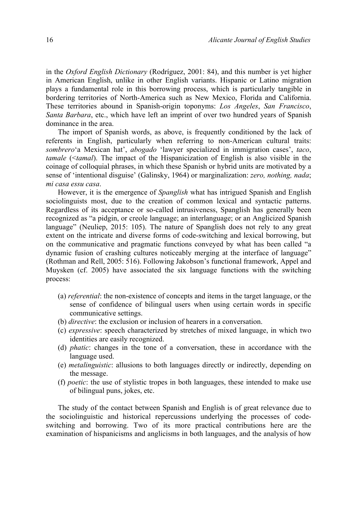in the *Oxford English Dictionary* (Rodríguez, 2001: 84), and this number is yet higher in American English, unlike in other English variants. Hispanic or Latino migration plays a fundamental role in this borrowing process, which is particularly tangible in bordering territories of North-America such as New Mexico, Florida and California. These territories abound in Spanish-origin toponyms: *Los Angeles*, *San Francisco*, *Santa Barbara*, etc., which have left an imprint of over two hundred years of Spanish dominance in the area.

The import of Spanish words, as above, is frequently conditioned by the lack of referents in English, particularly when referring to non-American cultural traits: *sombrero*'a Mexican hat', *abogado* 'lawyer specialized in immigration cases', *taco*, *tamale* (<*tamal*). The impact of the Hispanicization of English is also visible in the coinage of colloquial phrases, in which these Spanish or hybrid units are motivated by a sense of 'intentional disguise' (Galinsky, 1964) or marginalization: *zero, nothing, nada*; *mi casa essu casa*.

However, it is the emergence of *Spanglish* what has intrigued Spanish and English sociolinguists most, due to the creation of common lexical and syntactic patterns. Regardless of its acceptance or so-called intrusiveness, Spanglish has generally been recognized as "a pidgin, or creole language; an interlanguage; or an Anglicized Spanish language" (Neuliep, 2015: 105). The nature of Spanglish does not rely to any great extent on the intricate and diverse forms of code-switching and lexical borrowing, but on the communicative and pragmatic functions conveyed by what has been called "a dynamic fusion of crashing cultures noticeably merging at the interface of language" (Rothman and Rell, 2005: 516). Following Jakobson's functional framework, Appel and Muysken (cf. 2005) have associated the six language functions with the switching process:

- (a) *referential*: the non-existence of concepts and items in the target language, or the sense of confidence of bilingual users when using certain words in specific communicative settings.
- (b) *directive*: the exclusion or inclusion of hearers in a conversation.
- (c) *expressive*: speech characterized by stretches of mixed language, in which two identities are easily recognized.
- (d) *phatic*: changes in the tone of a conversation, these in accordance with the language used.
- (e) *metalinguistic*: allusions to both languages directly or indirectly, depending on the message.
- (f) *poetic*: the use of stylistic tropes in both languages, these intended to make use of bilingual puns, jokes, etc.

The study of the contact between Spanish and English is of great relevance due to the sociolinguistic and historical repercussions underlying the processes of codeswitching and borrowing. Two of its more practical contributions here are the examination of hispanicisms and anglicisms in both languages, and the analysis of how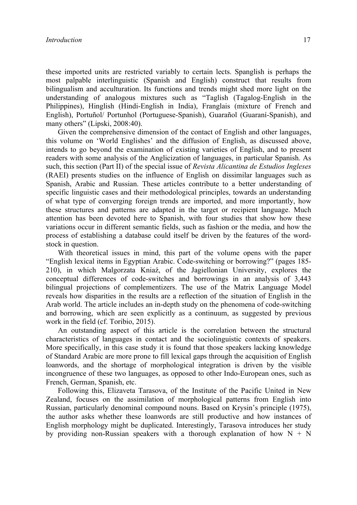these imported units are restricted variably to certain lects. Spanglish is perhaps the most palpable interlinguistic (Spanish and English) construct that results from bilingualism and acculturation. Its functions and trends might shed more light on the understanding of analogous mixtures such as "Taglish (Tagalog-English in the Philippines), Hinglish (Hindi-English in India), Franglais (mixture of French and English), Portuñol/ Portunhol (Portuguese-Spanish), Guarañol (Guaraní-Spanish), and many others" (Lipski, 2008:40).

Given the comprehensive dimension of the contact of English and other languages, this volume on 'World Englishes' and the diffusion of English, as discussed above, intends to go beyond the examination of existing varieties of English, and to present readers with some analysis of the Anglicization of languages, in particular Spanish. As such, this section (Part II) of the special issue of *Revista Alicantina de Estudios Ingleses* (RAEI) presents studies on the influence of English on dissimilar languages such as Spanish, Arabic and Russian. These articles contribute to a better understanding of specific linguistic cases and their methodological principles, towards an understanding of what type of converging foreign trends are imported, and more importantly, how these structures and patterns are adapted in the target or recipient language. Much attention has been devoted here to Spanish, with four studies that show how these variations occur in different semantic fields, such as fashion or the media, and how the process of establishing a database could itself be driven by the features of the wordstock in question.

With theoretical issues in mind, this part of the volume opens with the paper "English lexical items in Egyptian Arabic. Code-switching or borrowing?" (pages 185- 210), in which Malgorzata Kniaź, of the Jagiellonian University, explores the conceptual differences of code-switches and borrowings in an analysis of 3,443 bilingual projections of complementizers. The use of the Matrix Language Model reveals how disparities in the results are a reflection of the situation of English in the Arab world. The article includes an in-depth study on the phenomena of code-switching and borrowing, which are seen explicitly as a continuum, as suggested by previous work in the field (cf. Toribio, 2015).

An outstanding aspect of this article is the correlation between the structural characteristics of languages in contact and the sociolinguistic contexts of speakers. More specifically, in this case study it is found that those speakers lacking knowledge of Standard Arabic are more prone to fill lexical gaps through the acquisition of English loanwords, and the shortage of morphological integration is driven by the visible incongruence of these two languages, as opposed to other Indo-European ones, such as French, German, Spanish, etc.

Following this, Elizaveta Tarasova, of the Institute of the Pacific United in New Zealand, focuses on the assimilation of morphological patterns from English into Russian, particularly denominal compound nouns. Based on Krysin's principle (1975), the author asks whether these loanwords are still productive and how instances of English morphology might be duplicated. Interestingly, Tarasova introduces her study by providing non-Russian speakers with a thorough explanation of how  $N + N$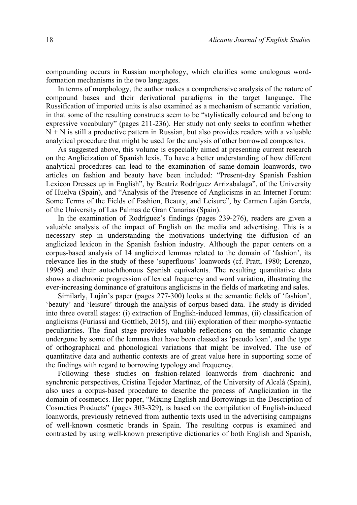compounding occurs in Russian morphology, which clarifies some analogous wordformation mechanisms in the two languages.

In terms of morphology, the author makes a comprehensive analysis of the nature of compound bases and their derivational paradigms in the target language. The Russification of imported units is also examined as a mechanism of semantic variation, in that some of the resulting constructs seem to be "stylistically coloured and belong to expressive vocabulary" (pages 211-236). Her study not only seeks to confirm whether  $N + N$  is still a productive pattern in Russian, but also provides readers with a valuable analytical procedure that might be used for the analysis of other borrowed composites.

As suggested above, this volume is especially aimed at presenting current research on the Anglicization of Spanish lexis. To have a better understanding of how different analytical procedures can lead to the examination of same-domain loanwords, two articles on fashion and beauty have been included: "Present-day Spanish Fashion Lexicon Dresses up in English", by Beatriz Rodríguez Arrizabalaga", of the University of Huelva (Spain), and "Analysis of the Presence of Anglicisms in an Internet Forum: Some Terms of the Fields of Fashion, Beauty, and Leisure", by Carmen Luján García, of the University of Las Palmas de Gran Canarias (Spain).

In the examination of Rodríguez's findings (pages 239-276), readers are given a valuable analysis of the impact of English on the media and advertising. This is a necessary step in understanding the motivations underlying the diffusion of an anglicized lexicon in the Spanish fashion industry. Although the paper centers on a corpus-based analysis of 14 anglicized lemmas related to the domain of 'fashion', its relevance lies in the study of these 'superfluous' loanwords (cf. Pratt, 1980; Lorenzo, 1996) and their autochthonous Spanish equivalents. The resulting quantitative data shows a diachronic progression of lexical frequency and word variation, illustrating the ever-increasing dominance of gratuitous anglicisms in the fields of marketing and sales.

Similarly, Luján's paper (pages 277-300) looks at the semantic fields of 'fashion', 'beauty' and 'leisure' through the analysis of corpus-based data. The study is divided into three overall stages: (i) extraction of English-induced lemmas, (ii) classification of anglicisms (Furiassi and Gottlieb, 2015), and (iii) exploration of their morpho-syntactic peculiarities. The final stage provides valuable reflections on the semantic change undergone by some of the lemmas that have been classed as 'pseudo loan', and the type of orthographical and phonological variations that might be involved. The use of quantitative data and authentic contexts are of great value here in supporting some of the findings with regard to borrowing typology and frequency.

Following these studies on fashion-related loanwords from diachronic and synchronic perspectives, Cristina Tejedor Martínez, of the University of Alcalá (Spain), also uses a corpus-based procedure to describe the process of Anglicization in the domain of cosmetics. Her paper, "Mixing English and Borrowings in the Description of Cosmetics Products" (pages 303-329), is based on the compilation of English-induced loanwords, previously retrieved from authentic texts used in the advertising campaigns of well-known cosmetic brands in Spain. The resulting corpus is examined and contrasted by using well-known prescriptive dictionaries of both English and Spanish,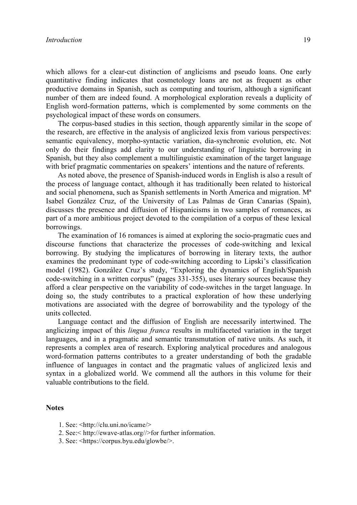which allows for a clear-cut distinction of anglicisms and pseudo loans. One early quantitative finding indicates that cosmetology loans are not as frequent as other productive domains in Spanish, such as computing and tourism, although a significant number of them are indeed found. A morphological exploration reveals a duplicity of English word-formation patterns, which is complemented by some comments on the psychological impact of these words on consumers.

The corpus-based studies in this section, though apparently similar in the scope of the research, are effective in the analysis of anglicized lexis from various perspectives: semantic equivalency, morpho-syntactic variation, dia-synchronic evolution, etc. Not only do their findings add clarity to our understanding of linguistic borrowing in Spanish, but they also complement a multilinguistic examination of the target language with brief pragmatic commentaries on speakers' intentions and the nature of referents.

As noted above, the presence of Spanish-induced words in English is also a result of the process of language contact, although it has traditionally been related to historical and social phenomena, such as Spanish settlements in North America and migration. Mª Isabel González Cruz, of the University of Las Palmas de Gran Canarias (Spain), discusses the presence and diffusion of Hispanicisms in two samples of romances, as part of a more ambitious project devoted to the compilation of a corpus of these lexical borrowings.

The examination of 16 romances is aimed at exploring the socio-pragmatic cues and discourse functions that characterize the processes of code-switching and lexical borrowing. By studying the implicatures of borrowing in literary texts, the author examines the predominant type of code-switching according to Lipski's classification model (1982). González Cruz's study, "Exploring the dynamics of English/Spanish code-switching in a written corpus" (pages 331-355), uses literary sources because they afford a clear perspective on the variability of code-switches in the target language. In doing so, the study contributes to a practical exploration of how these underlying motivations are associated with the degree of borrowability and the typology of the units collected.

Language contact and the diffusion of English are necessarily intertwined. The anglicizing impact of this *lingua franca* results in multifaceted variation in the target languages, and in a pragmatic and semantic transmutation of native units. As such, it represents a complex area of research. Exploring analytical procedures and analogous word-formation patterns contributes to a greater understanding of both the gradable influence of languages in contact and the pragmatic values of anglicized lexis and syntax in a globalized world. We commend all the authors in this volume for their valuable contributions to the field.

#### **Notes**

- 1. See: <http://clu.uni.no/icame/>
- 2. See:< http://ewave-atlas.org//>for further information.
- 3. See: <https://corpus.byu.edu/glowbe/>.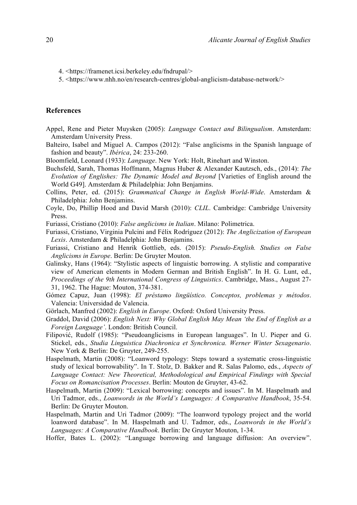- 4. <https://framenet.icsi.berkeley.edu/fndrupal/>
- 5. <https://www.nhh.no/en/research-centres/global-anglicism-database-network/>

### **References**

- Appel, Rene and Pieter Muysken (2005): *Language Contact and Bilingualism*. Amsterdam: Amsterdam University Press.
- Balteiro, Isabel and Miguel A. Campos (2012): "False anglicisms in the Spanish language of fashion and beauty". *Ibérica*, 24: 233-260.
- Bloomfield, Leonard (1933): *Language*. New York: Holt, Rinehart and Winston.
- Buchsfeld, Sarah, Thomas Hoffmann, Magnus Huber & Alexander Kautzsch, eds., (2014): *The Evolution of Englishes: The Dynamic Model and Beyond* [Varieties of English around the World G49]. Amsterdam & Philadelphia: John Benjamins.
- Collins, Peter, ed. (2015): *Grammatical Change in English World-Wide*. Amsterdam & Philadelphia: John Benjamins.
- Coyle, Do, Phillip Hood and David Marsh (2010): *CLIL*. Cambridge: Cambridge University Press.
- Furiassi, Cristiano (2010): *False anglicisms in Italian*. Milano: Polimetrica.
- Furiassi, Cristiano, Virginia Pulcini and Félix Rodríguez (2012): *The Anglicization of European Lexis*. Amsterdam & Philadelphia: John Benjamins.
- Furiassi, Cristiano and Henrik Gottlieb, eds. (2015): *Pseudo-English. Studies on False Anglicisms in Europe*. Berlin: De Gruyter Mouton.
- Galinsky, Hans (1964): "Stylistic aspects of linguistic borrowing. A stylistic and comparative view of American elements in Modern German and British English". In H. G. Lunt, ed., *Proceedings of the 9th International Congress of Linguistics*. Cambridge, Mass., August 27- 31, 1962. The Hague: Mouton, 374-381.
- Gómez Capuz, Juan (1998): *El préstamo lingüístico. Conceptos, problemas y métodos*. Valencia: Universidad de Valencia.
- Görlach, Manfred (2002): *English in Europe*. Oxford: Oxford University Press.
- Graddol, David (2006): *English Next: Why Global English May Mean 'the End of English as a Foreign Language'*. London: British Council.
- Filipović, Rudolf (1985): "Pseudoanglicisms in European languages". In U. Pieper and G. Stickel, eds., *Studia Linguistica Diachronica et Synchronica. Werner Winter Sexagenario*. New York & Berlin: De Gruyter, 249-255.
- Haspelmath, Martin (2008): "Loanword typology: Steps toward a systematic cross-linguistic study of lexical borrowability". In T. Stolz, D. Bakker and R. Salas Palomo, eds., *Aspects of Language Contact: New Theoretical, Methodological and Empirical Findings with Special Focus on Romancisation Processes*. Berlin: Mouton de Gruyter, 43-62.
- Haspelmath, Martin (2009): "Lexical borrowing: concepts and issues". In M. Haspelmath and Uri Tadmor, eds., *Loanwords in the World's Languages: A Comparative Handbook*, 35-54. Berlin: De Gruyter Mouton.
- Haspelmath, Martin and Uri Tadmor (2009): "The loanword typology project and the world loanword database". In M. Haspelmath and U. Tadmor, eds., *Loanwords in the World's Languages: A Comparative Handbook*. Berlin: De Gruyter Mouton, 1-34.

Hoffer, Bates L. (2002): "Language borrowing and language diffusion: An overview".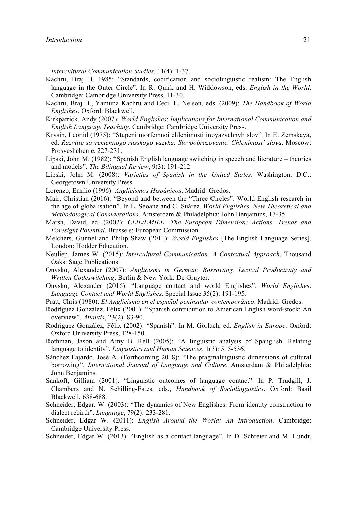*Intercultural Communication Studies*, 11(4): 1-37.

- Kachru, Braj B. 1985: "Standards, codification and sociolinguistic realism: The English language in the Outer Circle". In R. Quirk and H. Widdowson, eds. *English in the World*. Cambridge: Cambridge University Press, 11-30.
- Kachru, Braj B., Yamuna Kachru and Cecil L. Nelson, eds. (2009): *The Handbook of World Englishes*. Oxford: Blackwell.
- Kirkpatrick, Andy (2007): *World Englishes*: *Implications for International Communication and English Language Teaching*. Cambridge: Cambridge University Press.
- Krysin, Leonid (1975): "Stupeni morfemnoi chlenimosti inoyazychnyh slov". In E. Zemskaya, ed. *Razvitie sovremennogo russkogo yazyka. Slovoobrazovanie. Chlenimost' slova*. Moscow: Prosveshchenie, 227-231.
- Lipski, John M. (1982): "Spanish English language switching in speech and literature theories and models". *The Bilingual Review*, 9(3): 191-212.
- Lipski, John M. (2008): *Varieties of Spanish in the United States*. Washington, D.C.: Georgetown University Press.
- Lorenzo, Emilio (1996): *Anglicismos Hispánicos*. Madrid: Gredos.
- Mair, Christian (2016): "Beyond and between the "Three Circles": World English research in the age of globalisation". In E. Seoane and C. Suárez. *World Englishes. New Theoretical and Methodological Considerations*. Amsterdam & Philadelphia: John Benjamins, 17-35.
- Marsh, David, ed. (2002): *CLIL/EMILE- The European Dimension: Actions, Trends and Foresight Potential*. Brussels: European Commission.
- Melchers, Gunnel and Philip Shaw (2011): *World Englishes* [The English Language Series]. London: Hodder Education.
- Neuliep, James W. (2015): *Intercultural Communication. A Contextual Approach*. Thousand Oaks: Sage Publications.
- Onysko, Alexander (2007): *Anglicisms in German: Borrowing, Lexical Productivity and Written Codeswitching*. Berlin & New York: De Gruyter.
- Onysko, Alexander (2016): "Language contact and world Englishes". *World Englishes*. *Language Contact and World Englishes*. Special Issue 35(2): 191-195.
- Pratt, Chris (1980): *El Anglicismo en el español peninsular contemporáneo*. Madrid: Gredos.
- Rodríguez González, Félix (2001): "Spanish contribution to American English word-stock: An overview". *Atlantis*, 23(2): 83-90.
- Rodríguez González, Félix (2002): "Spanish". In M. Görlach, ed. *English in Europe*. Oxford: Oxford University Press, 128-150.
- Rothman, Jason and Amy B. Rell (2005): "A linguistic analysis of Spanglish. Relating language to identity". *Linguistics and Human Sciences*, 1(3): 515-536.
- Sánchez Fajardo, José A. (Forthcoming 2018): "The pragmalinguistic dimensions of cultural borrowing". *International Journal of Language and Culture*. Amsterdam & Philadelphia: John Benjamins.
- Sankoff, Gilliam (2001). "Linguistic outcomes of language contact". In P. Trudgill, J. Chambers and N. Schilling-Estes, eds., *Handbook of Sociolinguistics*. Oxford: Basil Blackwell, 638-688.
- Schneider, Edgar. W. (2003): "The dynamics of New Englishes: From identity construction to dialect rebirth". *Language*, 79(2): 233-281.
- Schneider, Edgar W. (2011): *English Around the World: An Introduction*. Cambridge: Cambridge University Press.
- Schneider, Edgar W. (2013): "English as a contact language". In D. Schreier and M. Hundt,